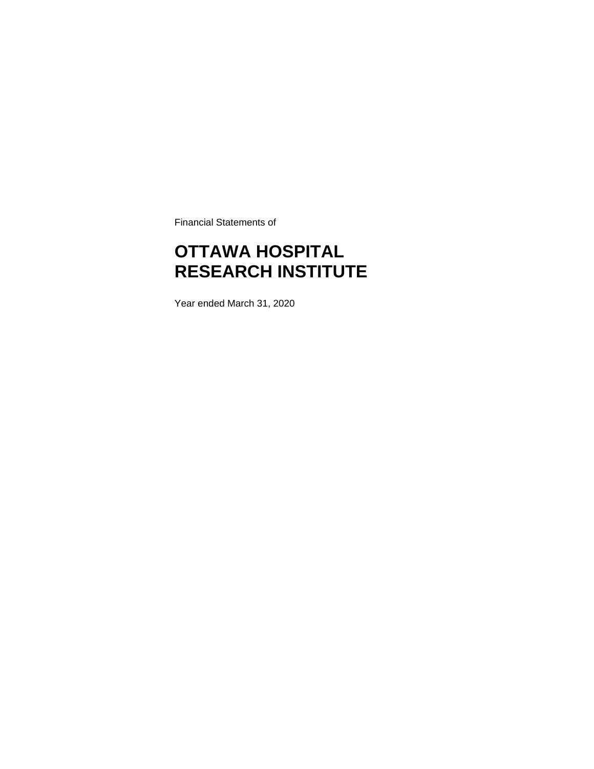Financial Statements of

### **OTTAWA HOSPITAL RESEARCH INSTITUTE**

Year ended March 31, 2020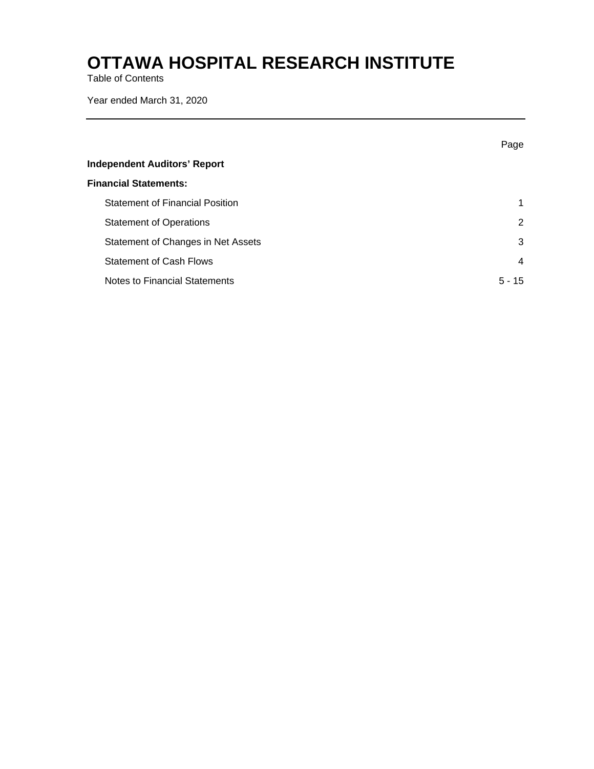Table of Contents

Year ended March 31, 2020

|                                        | Page           |
|----------------------------------------|----------------|
| <b>Independent Auditors' Report</b>    |                |
| <b>Financial Statements:</b>           |                |
| <b>Statement of Financial Position</b> | 1              |
| <b>Statement of Operations</b>         | 2              |
| Statement of Changes in Net Assets     | 3              |
| <b>Statement of Cash Flows</b>         | $\overline{4}$ |
| Notes to Financial Statements          | $5 - 15$       |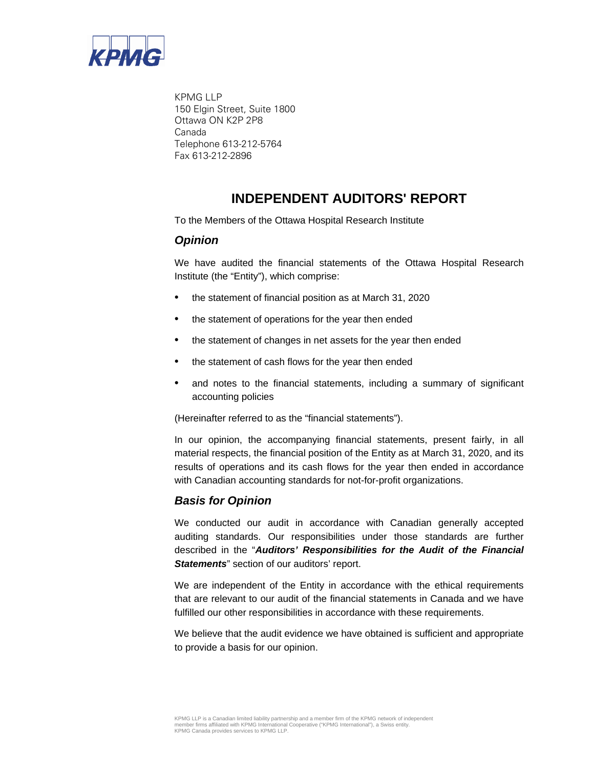

KPMG LLP 150 Elgin Street, Suite 1800 Ottawa ON K2P 2P8 Canada Telephone 613-212-5764 Fax 613-212-2896

### **INDEPENDENT AUDITORS' REPORT**

To the Members of the Ottawa Hospital Research Institute

### *Opinion*

We have audited the financial statements of the Ottawa Hospital Research Institute (the "Entity"), which comprise:

- the statement of financial position as at March 31, 2020
- the statement of operations for the year then ended
- the statement of changes in net assets for the year then ended
- the statement of cash flows for the year then ended
- and notes to the financial statements, including a summary of significant accounting policies

(Hereinafter referred to as the "financial statements").

In our opinion, the accompanying financial statements, present fairly, in all material respects, the financial position of the Entity as at March 31, 2020, and its results of operations and its cash flows for the year then ended in accordance with Canadian accounting standards for not-for-profit organizations.

### *Basis for Opinion*

We conducted our audit in accordance with Canadian generally accepted auditing standards. Our responsibilities under those standards are further described in the "*Auditors' Responsibilities for the Audit of the Financial*  **Statements**" section of our auditors' report.

We are independent of the Entity in accordance with the ethical requirements that are relevant to our audit of the financial statements in Canada and we have fulfilled our other responsibilities in accordance with these requirements.

We believe that the audit evidence we have obtained is sufficient and appropriate to provide a basis for our opinion.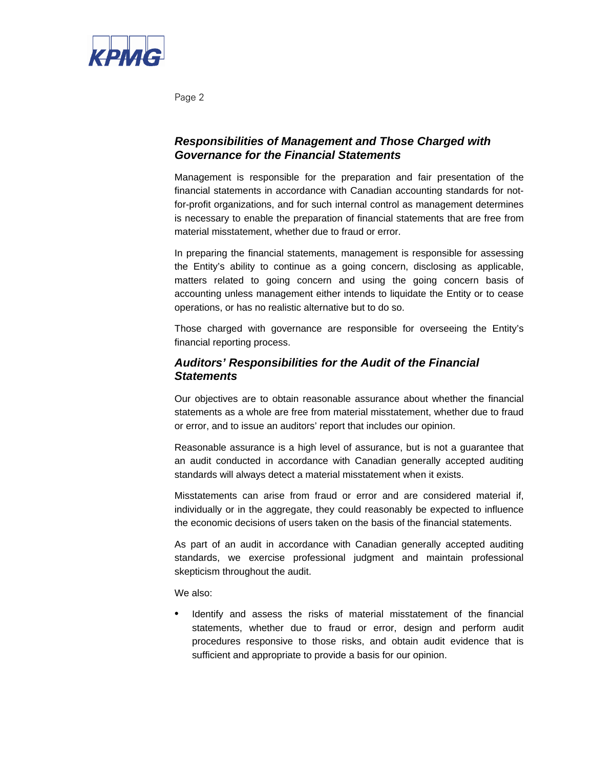

Page 2

### *Responsibilities of Management and Those Charged with Governance for the Financial Statements*

Management is responsible for the preparation and fair presentation of the financial statements in accordance with Canadian accounting standards for notfor-profit organizations, and for such internal control as management determines is necessary to enable the preparation of financial statements that are free from material misstatement, whether due to fraud or error.

In preparing the financial statements, management is responsible for assessing the Entity's ability to continue as a going concern, disclosing as applicable, matters related to going concern and using the going concern basis of accounting unless management either intends to liquidate the Entity or to cease operations, or has no realistic alternative but to do so.

Those charged with governance are responsible for overseeing the Entity's financial reporting process.

### *Auditors' Responsibilities for the Audit of the Financial Statements*

Our objectives are to obtain reasonable assurance about whether the financial statements as a whole are free from material misstatement, whether due to fraud or error, and to issue an auditors' report that includes our opinion.

Reasonable assurance is a high level of assurance, but is not a guarantee that an audit conducted in accordance with Canadian generally accepted auditing standards will always detect a material misstatement when it exists.

Misstatements can arise from fraud or error and are considered material if, individually or in the aggregate, they could reasonably be expected to influence the economic decisions of users taken on the basis of the financial statements.

As part of an audit in accordance with Canadian generally accepted auditing standards, we exercise professional judgment and maintain professional skepticism throughout the audit.

We also:

Identify and assess the risks of material misstatement of the financial statements, whether due to fraud or error, design and perform audit procedures responsive to those risks, and obtain audit evidence that is sufficient and appropriate to provide a basis for our opinion.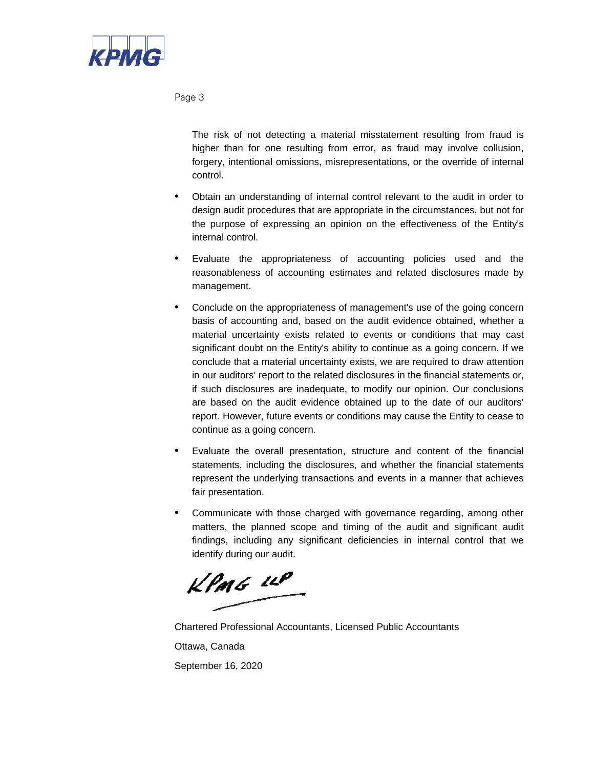

Page 3

The risk of not detecting a material misstatement resulting from fraud is higher than for one resulting from error, as fraud may involve collusion, forgery, intentional omissions, misrepresentations, or the override of internal control.

- Obtain an understanding of internal control relevant to the audit in order to design audit procedures that are appropriate in the circumstances, but not for the purpose of expressing an opinion on the effectiveness of the Entity's internal control.
- Evaluate the appropriateness of accounting policies used and the reasonableness of accounting estimates and related disclosures made by management.
- Conclude on the appropriateness of management's use of the going concern basis of accounting and, based on the audit evidence obtained, whether a material uncertainty exists related to events or conditions that may cast significant doubt on the Entity's ability to continue as a going concern. If we conclude that a material uncertainty exists, we are required to draw attention in our auditors' report to the related disclosures in the financial statements or, if such disclosures are inadequate, to modify our opinion. Our conclusions are based on the audit evidence obtained up to the date of our auditors' report. However, future events or conditions may cause the Entity to cease to continue as a going concern.
- Evaluate the overall presentation, structure and content of the financial statements, including the disclosures, and whether the financial statements represent the underlying transactions and events in a manner that achieves fair presentation.
- Communicate with those charged with governance regarding, among other matters, the planned scope and timing of the audit and significant audit findings, including any significant deficiencies in internal control that we identify during our audit.

KPMG LLP

Chartered Professional Accountants, Licensed Public Accountants Ottawa, Canada September 16, 2020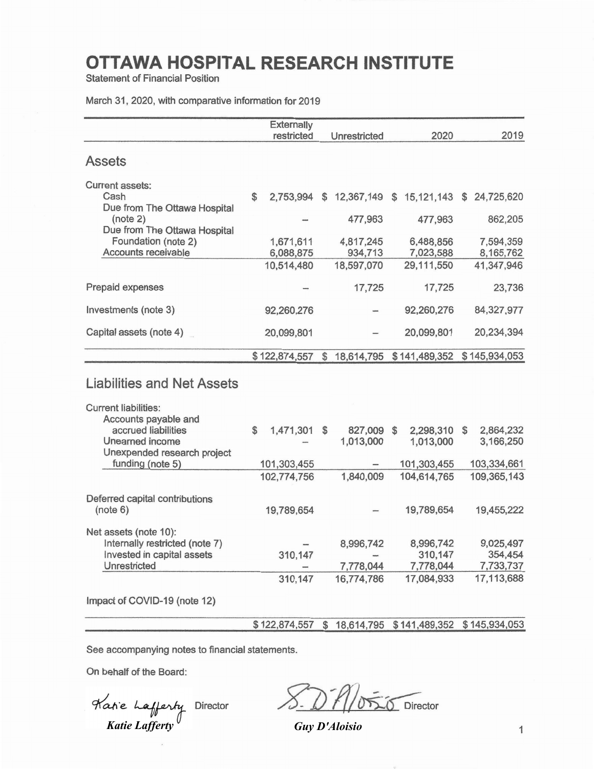**Statement of Financial Position** 

March 31, 2020, with comparative information for 2019

|                                                                              |                | Externally             |              |                                                        |                                   |                                   |
|------------------------------------------------------------------------------|----------------|------------------------|--------------|--------------------------------------------------------|-----------------------------------|-----------------------------------|
|                                                                              |                | restricted             |              | Unrestricted                                           | 2020                              | 2019                              |
| <b>Assets</b>                                                                |                |                        |              |                                                        |                                   |                                   |
| <b>Current assets:</b><br>Cash<br>Due from The Ottawa Hospital               | \$             | 2,753,994              | \$           |                                                        | 12,367,149 \$ 15,121,143 \$       | 24,725,620                        |
| (note 2)<br>Due from The Ottawa Hospital                                     |                |                        |              | 477,963                                                | 477,963                           | 862,205                           |
| Foundation (note 2)<br>Accounts receivable                                   |                | 1,671,611<br>6,088,875 |              | 4,817,245<br>934,713                                   | 6,488,856<br>7,023,588            | 7,594,359<br>8,165,762            |
|                                                                              |                | 10,514,480             |              | 18,597,070                                             | 29,111,550                        | 41,347,946                        |
| Prepaid expenses                                                             |                |                        |              | 17,725                                                 | 17,725                            | 23,736                            |
| Investments (note 3)                                                         |                | 92,260,276             |              |                                                        | 92,260,276                        | 84,327,977                        |
| Capital assets (note 4)                                                      |                | 20,099,801             |              |                                                        | 20,099,801                        | 20,234,394                        |
|                                                                              |                | \$122,874,557          | $\mathbb{S}$ | 18,614,795 \$141,489,352                               |                                   | \$145,934,053                     |
| <b>Liabilities and Net Assets</b>                                            |                |                        |              |                                                        |                                   |                                   |
| <b>Current liabilities:</b><br>Accounts payable and                          |                |                        |              |                                                        |                                   |                                   |
| accrued liabilities<br>Unearned income                                       | $$\mathbb{S}$$ | 1,471,301              | \$           | 827,009 \$<br>1,013,000                                | 2,298,310<br>1,013,000            | \$<br>2,864,232<br>3,166,250      |
| Unexpended research project<br>funding (note 5)                              |                | 101,303,455            |              |                                                        | 101,303,455                       | 103,334,661                       |
|                                                                              |                | 102,774,756            |              | 1,840,009                                              | 104,614,765                       | 109,365,143                       |
| Deferred capital contributions<br>(note 6)                                   |                | 19,789,654             |              |                                                        | 19,789,654                        | 19,455,222                        |
| Net assets (note 10):                                                        |                |                        |              |                                                        |                                   |                                   |
| Internally restricted (note 7)<br>Invested in capital assets<br>Unrestricted |                | 310,147                |              | 8,996,742<br>7,778,044                                 | 8,996,742<br>310,147<br>7,778,044 | 9,025,497<br>354,454<br>7,733,737 |
|                                                                              |                | 310,147                |              | 16,774,786                                             | 17,084,933                        | 17,113,688                        |
| Impact of COVID-19 (note 12)                                                 |                |                        |              |                                                        |                                   |                                   |
|                                                                              |                |                        |              | \$122,874,557 \$18,614,795 \$141,489,352 \$145,934,053 |                                   |                                   |

See accompanying notes to financial statements.

On behalf of the Board:

*Katie Lafferty Guy D'Aloisio*

 $\delta$  Director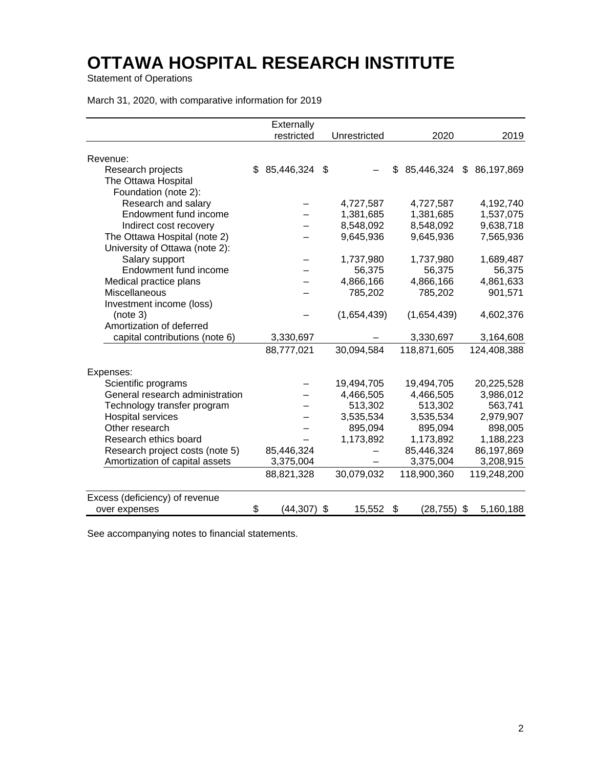Statement of Operations

| March 31, 2020, with comparative information for 2019 |  |  |  |  |
|-------------------------------------------------------|--|--|--|--|
|-------------------------------------------------------|--|--|--|--|

|                                 | Externally          |              |                                |             |
|---------------------------------|---------------------|--------------|--------------------------------|-------------|
|                                 | restricted          | Unrestricted | 2020                           | 2019        |
|                                 |                     |              |                                |             |
| Revenue:                        |                     |              |                                |             |
| Research projects               | \$<br>85,446,324 \$ |              | \$<br>85,446,324 \$ 86,197,869 |             |
| The Ottawa Hospital             |                     |              |                                |             |
| Foundation (note 2):            |                     |              |                                |             |
| Research and salary             |                     | 4,727,587    | 4,727,587                      | 4,192,740   |
| Endowment fund income           |                     | 1,381,685    | 1,381,685                      | 1,537,075   |
| Indirect cost recovery          |                     | 8,548,092    | 8,548,092                      | 9,638,718   |
| The Ottawa Hospital (note 2)    |                     | 9,645,936    | 9,645,936                      | 7,565,936   |
| University of Ottawa (note 2):  |                     |              |                                |             |
| Salary support                  |                     | 1,737,980    | 1,737,980                      | 1,689,487   |
| Endowment fund income           |                     | 56,375       | 56,375                         | 56,375      |
| Medical practice plans          |                     | 4,866,166    | 4,866,166                      | 4,861,633   |
| Miscellaneous                   |                     | 785,202      | 785,202                        | 901,571     |
| Investment income (loss)        |                     |              |                                |             |
| (note 3)                        |                     | (1,654,439)  | (1,654,439)                    | 4,602,376   |
| Amortization of deferred        |                     |              |                                |             |
| capital contributions (note 6)  | 3,330,697           |              | 3,330,697                      | 3,164,608   |
|                                 | 88,777,021          | 30,094,584   | 118,871,605                    | 124,408,388 |
|                                 |                     |              |                                |             |
| Expenses:                       |                     |              |                                |             |
| Scientific programs             |                     | 19,494,705   | 19,494,705                     | 20,225,528  |
| General research administration |                     | 4,466,505    | 4,466,505                      | 3,986,012   |
| Technology transfer program     |                     | 513,302      | 513,302                        | 563,741     |
| <b>Hospital services</b>        |                     | 3,535,534    | 3,535,534                      | 2,979,907   |
| Other research                  |                     | 895,094      | 895,094                        | 898,005     |
| Research ethics board           |                     | 1,173,892    | 1,173,892                      | 1,188,223   |
| Research project costs (note 5) | 85,446,324          |              | 85,446,324                     | 86,197,869  |
| Amortization of capital assets  | 3,375,004           |              | 3,375,004                      | 3,208,915   |
|                                 | 88,821,328          | 30,079,032   | 118,900,360                    | 119,248,200 |
| Excess (deficiency) of revenue  |                     |              |                                |             |
| over expenses                   | \$<br>$(44,307)$ \$ | 15,552       | \$<br>$(28, 755)$ \$           | 5,160,188   |

See accompanying notes to financial statements.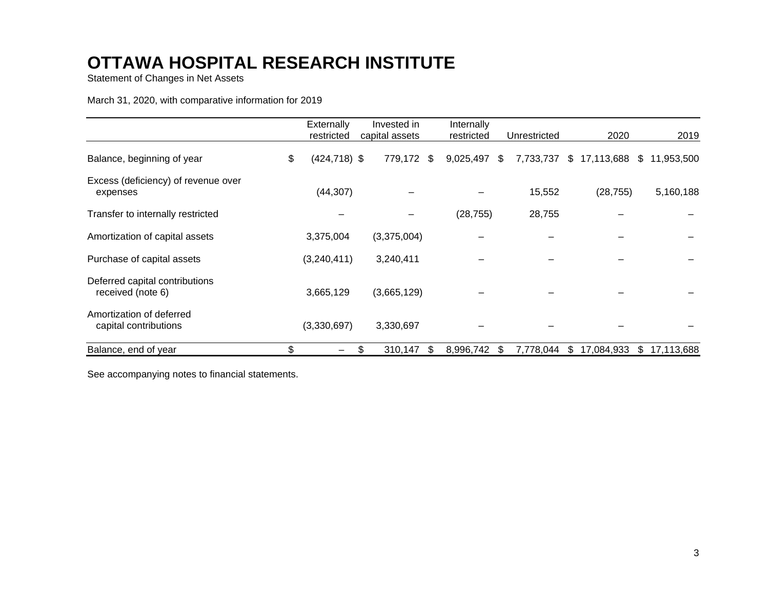Statement of Changes in Net Assets

March 31, 2020, with comparative information for 2019

|                                                     | Externally<br>restricted | Invested in<br>capital assets |     | Internally<br>restricted | Unrestricted    | 2020             | 2019             |
|-----------------------------------------------------|--------------------------|-------------------------------|-----|--------------------------|-----------------|------------------|------------------|
| Balance, beginning of year                          | \$<br>$(424, 718)$ \$    | 779,172 \$                    |     | 9,025,497                | \$<br>7,733,737 | \$<br>17,113,688 | \$11,953,500     |
| Excess (deficiency) of revenue over<br>expenses     | (44, 307)                |                               |     |                          | 15,552          | (28, 755)        | 5,160,188        |
| Transfer to internally restricted                   |                          |                               |     | (28, 755)                | 28,755          |                  |                  |
| Amortization of capital assets                      | 3,375,004                | (3,375,004)                   |     |                          |                 |                  |                  |
| Purchase of capital assets                          | (3,240,411)              | 3,240,411                     |     |                          |                 |                  |                  |
| Deferred capital contributions<br>received (note 6) | 3,665,129                | (3,665,129)                   |     |                          |                 |                  |                  |
| Amortization of deferred<br>capital contributions   | (3,330,697)              | 3,330,697                     |     |                          |                 |                  |                  |
| Balance, end of year                                | \$                       | \$<br>310,147                 | \$. | 8,996,742 \$             | 7,778,044       | \$<br>17,084,933 | \$<br>17,113,688 |

See accompanying notes to financial statements.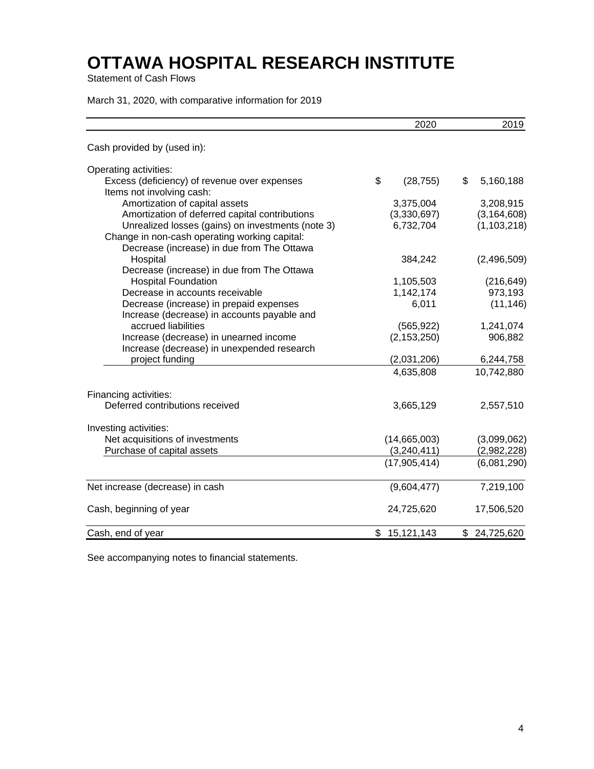Statement of Cash Flows

March 31, 2020, with comparative information for 2019

|                                                                                             | 2020            | 2019            |
|---------------------------------------------------------------------------------------------|-----------------|-----------------|
| Cash provided by (used in):                                                                 |                 |                 |
| Operating activities:                                                                       |                 |                 |
| Excess (deficiency) of revenue over expenses<br>Items not involving cash:                   | \$<br>(28, 755) | \$<br>5,160,188 |
| Amortization of capital assets                                                              | 3,375,004       | 3,208,915       |
| Amortization of deferred capital contributions                                              | (3,330,697)     | (3, 164, 608)   |
| Unrealized losses (gains) on investments (note 3)                                           | 6,732,704       | (1, 103, 218)   |
| Change in non-cash operating working capital:<br>Decrease (increase) in due from The Ottawa |                 |                 |
| Hospital                                                                                    | 384,242         | (2,496,509)     |
| Decrease (increase) in due from The Ottawa                                                  |                 |                 |
| <b>Hospital Foundation</b>                                                                  | 1,105,503       | (216, 649)      |
| Decrease in accounts receivable                                                             | 1,142,174       | 973,193         |
| Decrease (increase) in prepaid expenses                                                     | 6,011           | (11, 146)       |
| Increase (decrease) in accounts payable and                                                 |                 |                 |
| accrued liabilities                                                                         | (565, 922)      | 1,241,074       |
| Increase (decrease) in unearned income                                                      | (2, 153, 250)   | 906,882         |
| Increase (decrease) in unexpended research                                                  |                 |                 |
| project funding                                                                             | (2,031,206)     | 6,244,758       |
|                                                                                             | 4,635,808       | 10,742,880      |
| Financing activities:                                                                       |                 |                 |
| Deferred contributions received                                                             | 3,665,129       | 2,557,510       |
| Investing activities:                                                                       |                 |                 |
| Net acquisitions of investments                                                             | (14,665,003)    | (3,099,062)     |
| Purchase of capital assets                                                                  | (3,240,411)     | (2,982,228)     |
|                                                                                             | (17,905,414)    | (6,081,290)     |
| Net increase (decrease) in cash                                                             | (9,604,477)     | 7,219,100       |
| Cash, beginning of year                                                                     | 24,725,620      | 17,506,520      |
| Cash, end of year                                                                           | \$15,121,143    | \$24,725,620    |

See accompanying notes to financial statements.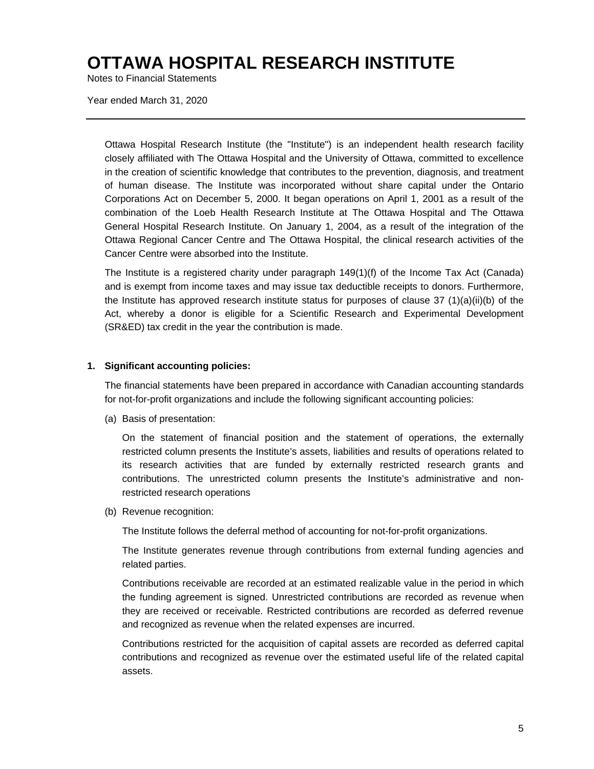Notes to Financial Statements

Year ended March 31, 2020

Ottawa Hospital Research Institute (the "Institute") is an independent health research facility closely affiliated with The Ottawa Hospital and the University of Ottawa, committed to excellence in the creation of scientific knowledge that contributes to the prevention, diagnosis, and treatment of human disease. The Institute was incorporated without share capital under the Ontario Corporations Act on December 5, 2000. It began operations on April 1, 2001 as a result of the combination of the Loeb Health Research Institute at The Ottawa Hospital and The Ottawa General Hospital Research Institute. On January 1, 2004, as a result of the integration of the Ottawa Regional Cancer Centre and The Ottawa Hospital, the clinical research activities of the Cancer Centre were absorbed into the Institute.

The Institute is a registered charity under paragraph 149(1)(f) of the Income Tax Act (Canada) and is exempt from income taxes and may issue tax deductible receipts to donors. Furthermore, the Institute has approved research institute status for purposes of clause 37  $(1)(a)(ii)(b)$  of the Act, whereby a donor is eligible for a Scientific Research and Experimental Development (SR&ED) tax credit in the year the contribution is made.

#### **1. Significant accounting policies:**

The financial statements have been prepared in accordance with Canadian accounting standards for not-for-profit organizations and include the following significant accounting policies:

(a) Basis of presentation:

On the statement of financial position and the statement of operations, the externally restricted column presents the Institute's assets, liabilities and results of operations related to its research activities that are funded by externally restricted research grants and contributions. The unrestricted column presents the Institute's administrative and nonrestricted research operations

(b) Revenue recognition:

The Institute follows the deferral method of accounting for not-for-profit organizations.

The Institute generates revenue through contributions from external funding agencies and related parties.

Contributions receivable are recorded at an estimated realizable value in the period in which the funding agreement is signed. Unrestricted contributions are recorded as revenue when they are received or receivable. Restricted contributions are recorded as deferred revenue and recognized as revenue when the related expenses are incurred.

Contributions restricted for the acquisition of capital assets are recorded as deferred capital contributions and recognized as revenue over the estimated useful life of the related capital assets.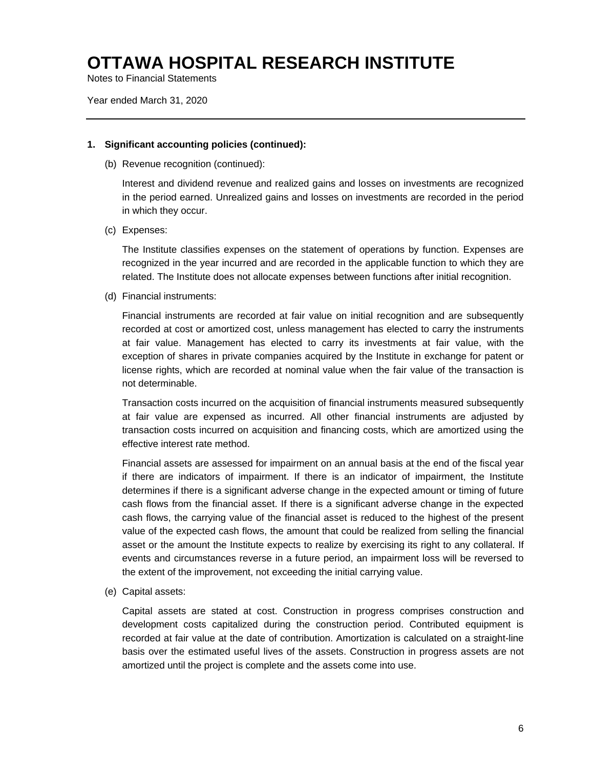Notes to Financial Statements

Year ended March 31, 2020

#### **1. Significant accounting policies (continued):**

(b) Revenue recognition (continued):

Interest and dividend revenue and realized gains and losses on investments are recognized in the period earned. Unrealized gains and losses on investments are recorded in the period in which they occur.

(c) Expenses:

The Institute classifies expenses on the statement of operations by function. Expenses are recognized in the year incurred and are recorded in the applicable function to which they are related. The Institute does not allocate expenses between functions after initial recognition.

(d) Financial instruments:

Financial instruments are recorded at fair value on initial recognition and are subsequently recorded at cost or amortized cost, unless management has elected to carry the instruments at fair value. Management has elected to carry its investments at fair value, with the exception of shares in private companies acquired by the Institute in exchange for patent or license rights, which are recorded at nominal value when the fair value of the transaction is not determinable.

Transaction costs incurred on the acquisition of financial instruments measured subsequently at fair value are expensed as incurred. All other financial instruments are adjusted by transaction costs incurred on acquisition and financing costs, which are amortized using the effective interest rate method.

Financial assets are assessed for impairment on an annual basis at the end of the fiscal year if there are indicators of impairment. If there is an indicator of impairment, the Institute determines if there is a significant adverse change in the expected amount or timing of future cash flows from the financial asset. If there is a significant adverse change in the expected cash flows, the carrying value of the financial asset is reduced to the highest of the present value of the expected cash flows, the amount that could be realized from selling the financial asset or the amount the Institute expects to realize by exercising its right to any collateral. If events and circumstances reverse in a future period, an impairment loss will be reversed to the extent of the improvement, not exceeding the initial carrying value.

(e) Capital assets:

Capital assets are stated at cost. Construction in progress comprises construction and development costs capitalized during the construction period. Contributed equipment is recorded at fair value at the date of contribution. Amortization is calculated on a straight-line basis over the estimated useful lives of the assets. Construction in progress assets are not amortized until the project is complete and the assets come into use.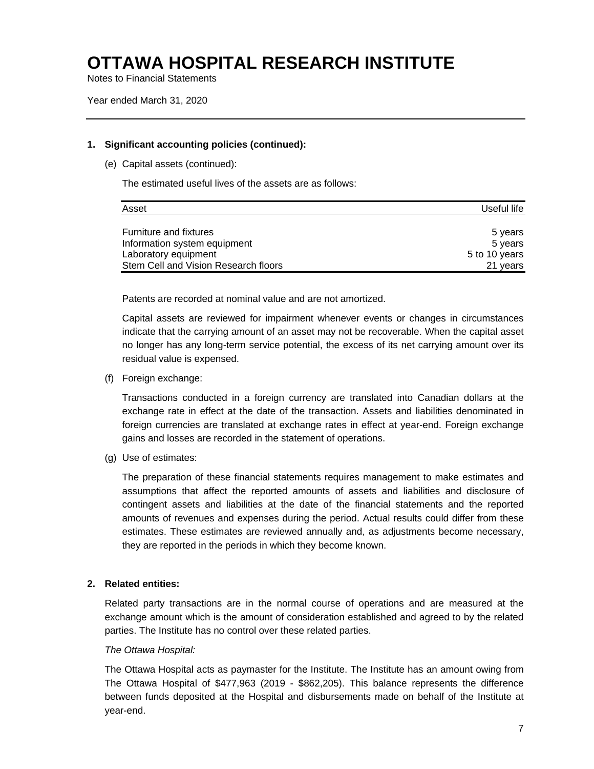Notes to Financial Statements

Year ended March 31, 2020

#### **1. Significant accounting policies (continued):**

(e) Capital assets (continued):

The estimated useful lives of the assets are as follows:

| Asset                                | Useful life   |
|--------------------------------------|---------------|
|                                      |               |
| <b>Furniture and fixtures</b>        | 5 years       |
| Information system equipment         | 5 years       |
| Laboratory equipment                 | 5 to 10 years |
| Stem Cell and Vision Research floors | 21 vears      |

Patents are recorded at nominal value and are not amortized.

Capital assets are reviewed for impairment whenever events or changes in circumstances indicate that the carrying amount of an asset may not be recoverable. When the capital asset no longer has any long-term service potential, the excess of its net carrying amount over its residual value is expensed.

(f) Foreign exchange:

Transactions conducted in a foreign currency are translated into Canadian dollars at the exchange rate in effect at the date of the transaction. Assets and liabilities denominated in foreign currencies are translated at exchange rates in effect at year-end. Foreign exchange gains and losses are recorded in the statement of operations.

(g) Use of estimates:

The preparation of these financial statements requires management to make estimates and assumptions that affect the reported amounts of assets and liabilities and disclosure of contingent assets and liabilities at the date of the financial statements and the reported amounts of revenues and expenses during the period. Actual results could differ from these estimates. These estimates are reviewed annually and, as adjustments become necessary, they are reported in the periods in which they become known.

#### **2. Related entities:**

Related party transactions are in the normal course of operations and are measured at the exchange amount which is the amount of consideration established and agreed to by the related parties. The Institute has no control over these related parties.

#### *The Ottawa Hospital:*

The Ottawa Hospital acts as paymaster for the Institute. The Institute has an amount owing from The Ottawa Hospital of \$477,963 (2019 - \$862,205). This balance represents the difference between funds deposited at the Hospital and disbursements made on behalf of the Institute at year-end.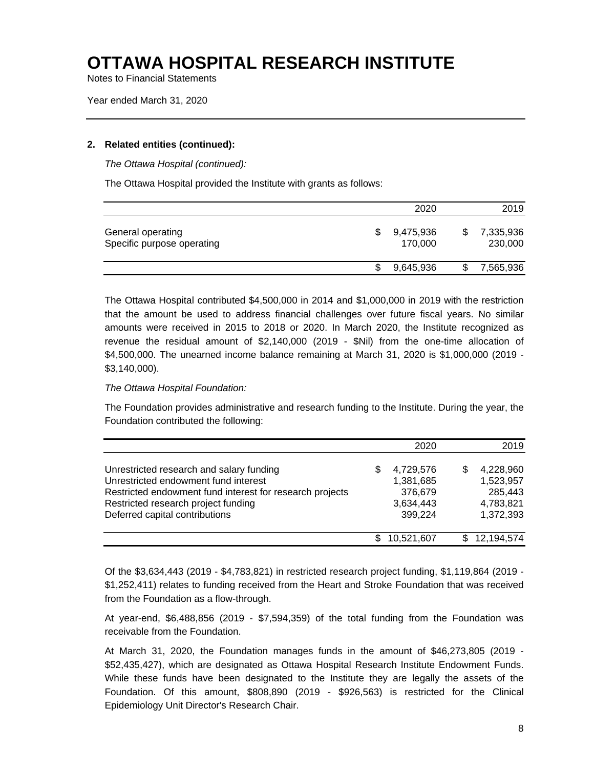Notes to Financial Statements

Year ended March 31, 2020

#### **2. Related entities (continued):**

*The Ottawa Hospital (continued):* 

The Ottawa Hospital provided the Institute with grants as follows:

|                                                 | 2020                 | 2019                 |
|-------------------------------------------------|----------------------|----------------------|
| General operating<br>Specific purpose operating | 9,475,936<br>170.000 | 7,335,936<br>230,000 |
|                                                 | 9,645,936            | 7,565,936            |

The Ottawa Hospital contributed \$4,500,000 in 2014 and \$1,000,000 in 2019 with the restriction that the amount be used to address financial challenges over future fiscal years. No similar amounts were received in 2015 to 2018 or 2020. In March 2020, the Institute recognized as revenue the residual amount of \$2,140,000 (2019 - \$Nil) from the one-time allocation of \$4,500,000. The unearned income balance remaining at March 31, 2020 is \$1,000,000 (2019 - \$3,140,000).

#### *The Ottawa Hospital Foundation:*

The Foundation provides administrative and research funding to the Institute. During the year, the Foundation contributed the following:

|                                                                                                                                                                                                                       | 2020                                                            |   | 2019                                                        |
|-----------------------------------------------------------------------------------------------------------------------------------------------------------------------------------------------------------------------|-----------------------------------------------------------------|---|-------------------------------------------------------------|
| Unrestricted research and salary funding<br>Unrestricted endowment fund interest<br>Restricted endowment fund interest for research projects<br>Restricted research project funding<br>Deferred capital contributions | \$<br>4,729,576<br>1,381,685<br>376,679<br>3,634,443<br>399,224 | S | 4,228,960<br>1,523,957<br>285,443<br>4,783,821<br>1,372,393 |
|                                                                                                                                                                                                                       | 10,521,607                                                      |   | 12,194,574                                                  |

Of the \$3,634,443 (2019 - \$4,783,821) in restricted research project funding, \$1,119,864 (2019 - \$1,252,411) relates to funding received from the Heart and Stroke Foundation that was received from the Foundation as a flow-through.

At year-end, \$6,488,856 (2019 - \$7,594,359) of the total funding from the Foundation was receivable from the Foundation.

At March 31, 2020, the Foundation manages funds in the amount of \$46,273,805 (2019 - \$52,435,427), which are designated as Ottawa Hospital Research Institute Endowment Funds. While these funds have been designated to the Institute they are legally the assets of the Foundation. Of this amount, \$808,890 (2019 - \$926,563) is restricted for the Clinical Epidemiology Unit Director's Research Chair.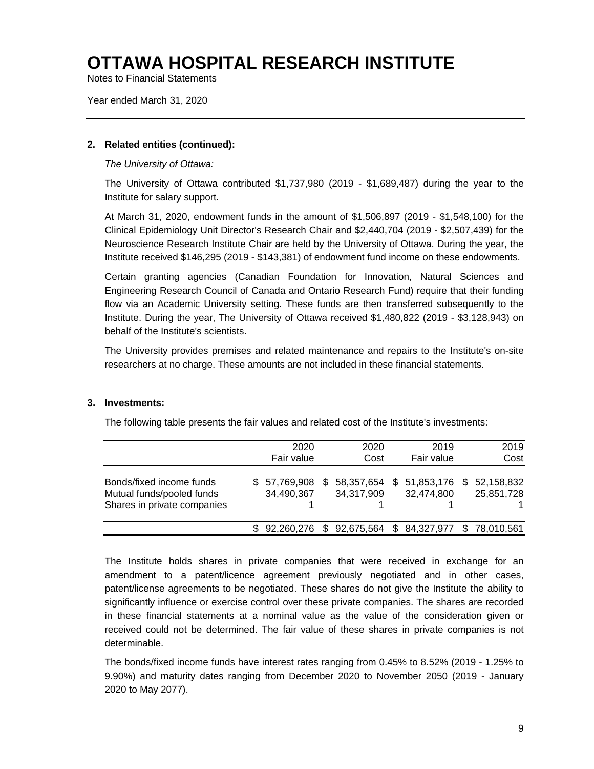Notes to Financial Statements

Year ended March 31, 2020

#### **2. Related entities (continued):**

*The University of Ottawa:* 

The University of Ottawa contributed \$1,737,980 (2019 - \$1,689,487) during the year to the Institute for salary support.

At March 31, 2020, endowment funds in the amount of \$1,506,897 (2019 - \$1,548,100) for the Clinical Epidemiology Unit Director's Research Chair and \$2,440,704 (2019 - \$2,507,439) for the Neuroscience Research Institute Chair are held by the University of Ottawa. During the year, the Institute received \$146,295 (2019 - \$143,381) of endowment fund income on these endowments.

Certain granting agencies (Canadian Foundation for Innovation, Natural Sciences and Engineering Research Council of Canada and Ontario Research Fund) require that their funding flow via an Academic University setting. These funds are then transferred subsequently to the Institute. During the year, The University of Ottawa received \$1,480,822 (2019 - \$3,128,943) on behalf of the Institute's scientists.

The University provides premises and related maintenance and repairs to the Institute's on-site researchers at no charge. These amounts are not included in these financial statements.

#### **3. Investments:**

The following table presents the fair values and related cost of the Institute's investments:

|                                                                                      |     | 2020                     |     | 2020                                      | 2019                       |    | 2019                     |
|--------------------------------------------------------------------------------------|-----|--------------------------|-----|-------------------------------------------|----------------------------|----|--------------------------|
|                                                                                      |     | Fair value               |     | Cost                                      | Fair value                 |    | Cost                     |
| Bonds/fixed income funds<br>Mutual funds/pooled funds<br>Shares in private companies | SS. | 57,769,908<br>34,490,367 | \$. | 58,357,654<br>34,317,909                  | \$51,853,176<br>32,474,800 | S. | 52,158,832<br>25,851,728 |
|                                                                                      |     | \$92,260,276             |     | \$ 92,675,564 \$ 84,327,977 \$ 78,010,561 |                            |    |                          |

The Institute holds shares in private companies that were received in exchange for an amendment to a patent/licence agreement previously negotiated and in other cases, patent/license agreements to be negotiated. These shares do not give the Institute the ability to significantly influence or exercise control over these private companies. The shares are recorded in these financial statements at a nominal value as the value of the consideration given or received could not be determined. The fair value of these shares in private companies is not determinable.

The bonds/fixed income funds have interest rates ranging from 0.45% to 8.52% (2019 - 1.25% to 9.90%) and maturity dates ranging from December 2020 to November 2050 (2019 - January 2020 to May 2077).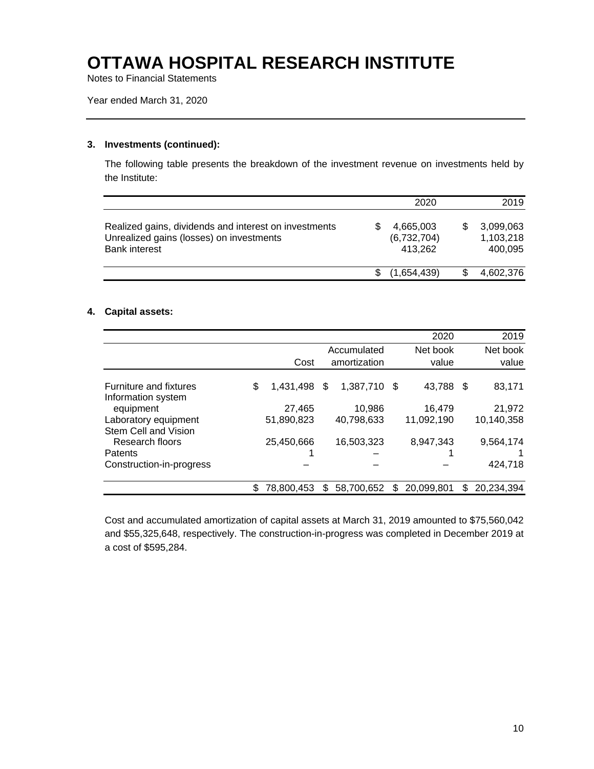Notes to Financial Statements

Year ended March 31, 2020

#### **3. Investments (continued):**

The following table presents the breakdown of the investment revenue on investments held by the Institute:

|                                                                                                                           | 2020                                |   | 2019                              |
|---------------------------------------------------------------------------------------------------------------------------|-------------------------------------|---|-----------------------------------|
| Realized gains, dividends and interest on investments<br>Unrealized gains (losses) on investments<br><b>Bank interest</b> | 4,665,003<br>(6,732,704)<br>413.262 | S | 3,099,063<br>1,103,218<br>400.095 |
|                                                                                                                           | (1.654.439)                         |   | 4,602,376                         |

#### **4. Capital assets:**

|                          |                 |     |              |    | 2020       |     | 2019       |
|--------------------------|-----------------|-----|--------------|----|------------|-----|------------|
|                          |                 |     | Accumulated  |    | Net book   |     | Net book   |
|                          | Cost            |     | amortization |    | value      |     | value      |
|                          |                 |     |              |    |            |     |            |
| Furniture and fixtures   | \$<br>1,431,498 | \$  | 1,387,710    | \$ | 43,788     | -\$ | 83,171     |
| Information system       |                 |     |              |    |            |     |            |
| equipment                | 27,465          |     | 10,986       |    | 16,479     |     | 21,972     |
| Laboratory equipment     | 51,890,823      |     | 40,798,633   |    | 11,092,190 |     | 10,140,358 |
| Stem Cell and Vision     |                 |     |              |    |            |     |            |
| Research floors          | 25,450,666      |     | 16,503,323   |    | 8,947,343  |     | 9.564.174  |
| Patents                  |                 |     |              |    |            |     |            |
| Construction-in-progress |                 |     |              |    |            |     | 424,718    |
|                          | 78,800,453      | \$. | 58.700.652   | S  | 20.099.801 | S   | 20.234.394 |

Cost and accumulated amortization of capital assets at March 31, 2019 amounted to \$75,560,042 and \$55,325,648, respectively. The construction-in-progress was completed in December 2019 at a cost of \$595,284.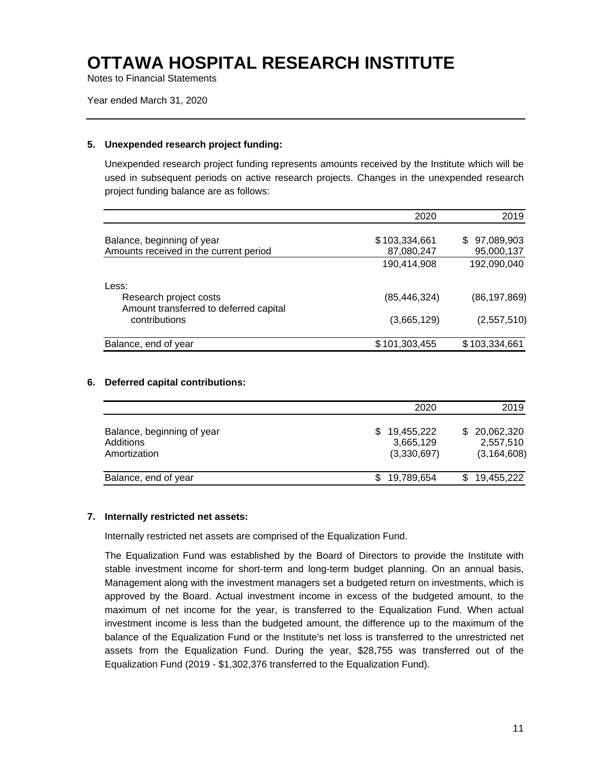Notes to Financial Statements

Year ended March 31, 2020

#### **5. Unexpended research project funding:**

Unexpended research project funding represents amounts received by the Institute which will be used in subsequent periods on active research projects. Changes in the unexpended research project funding balance are as follows:

|                                                                  | 2020           | 2019              |
|------------------------------------------------------------------|----------------|-------------------|
| Balance, beginning of year                                       | \$103,334,661  | 97,089,903<br>\$. |
| Amounts received in the current period                           | 87,080,247     | 95,000,137        |
|                                                                  | 190,414,908    | 192,090,040       |
| Less:                                                            |                |                   |
| Research project costs<br>Amount transferred to deferred capital | (85, 446, 324) | (86, 197, 869)    |
| contributions                                                    | (3,665,129)    | (2,557,510)       |
| Balance, end of year                                             | \$101,303,455  | \$103,334,661     |

#### **6. Deferred capital contributions:**

|                                                         | 2020                                   | 2019                                       |
|---------------------------------------------------------|----------------------------------------|--------------------------------------------|
| Balance, beginning of year<br>Additions<br>Amortization | 19,455,222<br>3,665,129<br>(3,330,697) | \$20,062,320<br>2,557,510<br>(3, 164, 608) |
| Balance, end of year                                    | 19,789,654                             | 19,455,222                                 |

#### **7. Internally restricted net assets:**

Internally restricted net assets are comprised of the Equalization Fund.

The Equalization Fund was established by the Board of Directors to provide the Institute with stable investment income for short-term and long-term budget planning. On an annual basis, Management along with the investment managers set a budgeted return on investments, which is approved by the Board. Actual investment income in excess of the budgeted amount, to the maximum of net income for the year, is transferred to the Equalization Fund. When actual investment income is less than the budgeted amount, the difference up to the maximum of the balance of the Equalization Fund or the Institute's net loss is transferred to the unrestricted net assets from the Equalization Fund. During the year, \$28,755 was transferred out of the Equalization Fund (2019 - \$1,302,376 transferred to the Equalization Fund).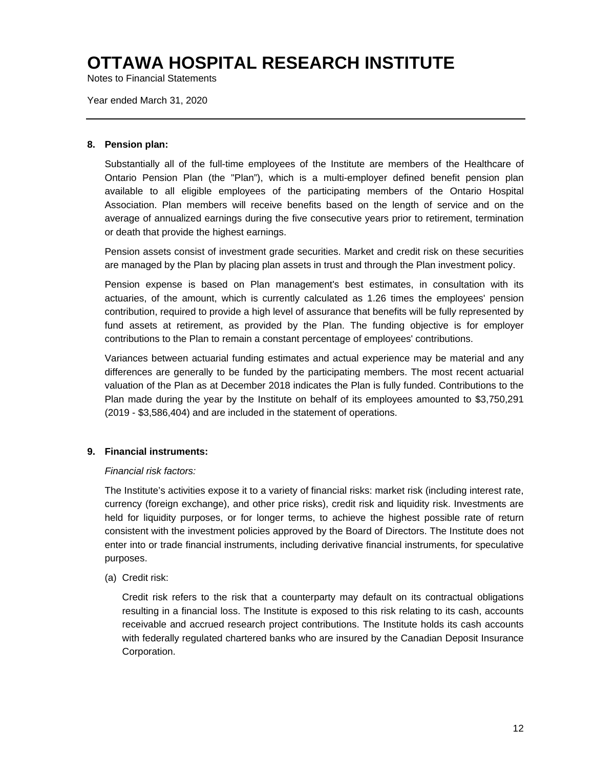Notes to Financial Statements

Year ended March 31, 2020

#### **8. Pension plan:**

Substantially all of the full-time employees of the Institute are members of the Healthcare of Ontario Pension Plan (the "Plan"), which is a multi-employer defined benefit pension plan available to all eligible employees of the participating members of the Ontario Hospital Association. Plan members will receive benefits based on the length of service and on the average of annualized earnings during the five consecutive years prior to retirement, termination or death that provide the highest earnings.

Pension assets consist of investment grade securities. Market and credit risk on these securities are managed by the Plan by placing plan assets in trust and through the Plan investment policy.

Pension expense is based on Plan management's best estimates, in consultation with its actuaries, of the amount, which is currently calculated as 1.26 times the employees' pension contribution, required to provide a high level of assurance that benefits will be fully represented by fund assets at retirement, as provided by the Plan. The funding objective is for employer contributions to the Plan to remain a constant percentage of employees' contributions.

Variances between actuarial funding estimates and actual experience may be material and any differences are generally to be funded by the participating members. The most recent actuarial valuation of the Plan as at December 2018 indicates the Plan is fully funded. Contributions to the Plan made during the year by the Institute on behalf of its employees amounted to \$3,750,291 (2019 - \$3,586,404) and are included in the statement of operations.

#### **9. Financial instruments:**

#### *Financial risk factors:*

The Institute's activities expose it to a variety of financial risks: market risk (including interest rate, currency (foreign exchange), and other price risks), credit risk and liquidity risk. Investments are held for liquidity purposes, or for longer terms, to achieve the highest possible rate of return consistent with the investment policies approved by the Board of Directors. The Institute does not enter into or trade financial instruments, including derivative financial instruments, for speculative purposes.

(a) Credit risk:

Credit risk refers to the risk that a counterparty may default on its contractual obligations resulting in a financial loss. The Institute is exposed to this risk relating to its cash, accounts receivable and accrued research project contributions. The Institute holds its cash accounts with federally regulated chartered banks who are insured by the Canadian Deposit Insurance Corporation.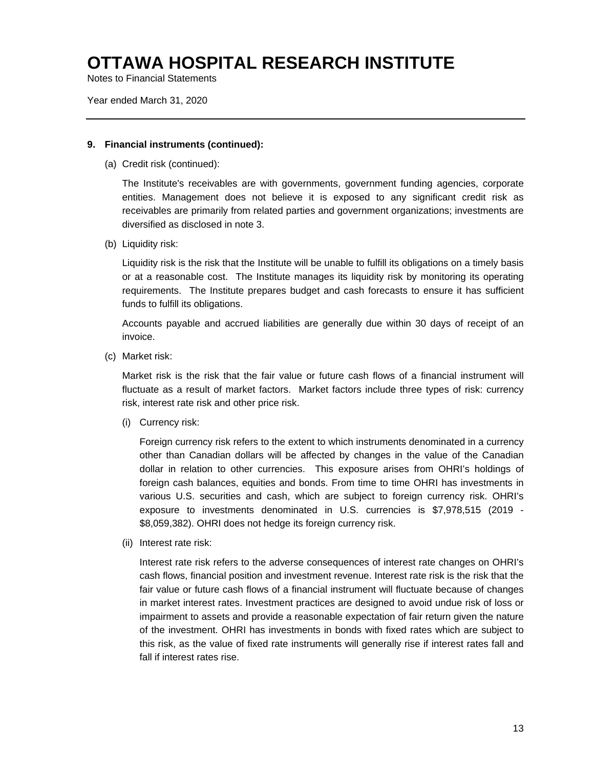Notes to Financial Statements

Year ended March 31, 2020

#### **9. Financial instruments (continued):**

(a) Credit risk (continued):

The Institute's receivables are with governments, government funding agencies, corporate entities. Management does not believe it is exposed to any significant credit risk as receivables are primarily from related parties and government organizations; investments are diversified as disclosed in note 3.

(b) Liquidity risk:

Liquidity risk is the risk that the Institute will be unable to fulfill its obligations on a timely basis or at a reasonable cost. The Institute manages its liquidity risk by monitoring its operating requirements. The Institute prepares budget and cash forecasts to ensure it has sufficient funds to fulfill its obligations.

Accounts payable and accrued liabilities are generally due within 30 days of receipt of an invoice.

(c) Market risk:

Market risk is the risk that the fair value or future cash flows of a financial instrument will fluctuate as a result of market factors. Market factors include three types of risk: currency risk, interest rate risk and other price risk.

(i) Currency risk:

Foreign currency risk refers to the extent to which instruments denominated in a currency other than Canadian dollars will be affected by changes in the value of the Canadian dollar in relation to other currencies. This exposure arises from OHRI's holdings of foreign cash balances, equities and bonds. From time to time OHRI has investments in various U.S. securities and cash, which are subject to foreign currency risk. OHRI's exposure to investments denominated in U.S. currencies is \$7,978,515 (2019 - \$8,059,382). OHRI does not hedge its foreign currency risk.

(ii) Interest rate risk:

Interest rate risk refers to the adverse consequences of interest rate changes on OHRI's cash flows, financial position and investment revenue. Interest rate risk is the risk that the fair value or future cash flows of a financial instrument will fluctuate because of changes in market interest rates. Investment practices are designed to avoid undue risk of loss or impairment to assets and provide a reasonable expectation of fair return given the nature of the investment. OHRI has investments in bonds with fixed rates which are subject to this risk, as the value of fixed rate instruments will generally rise if interest rates fall and fall if interest rates rise.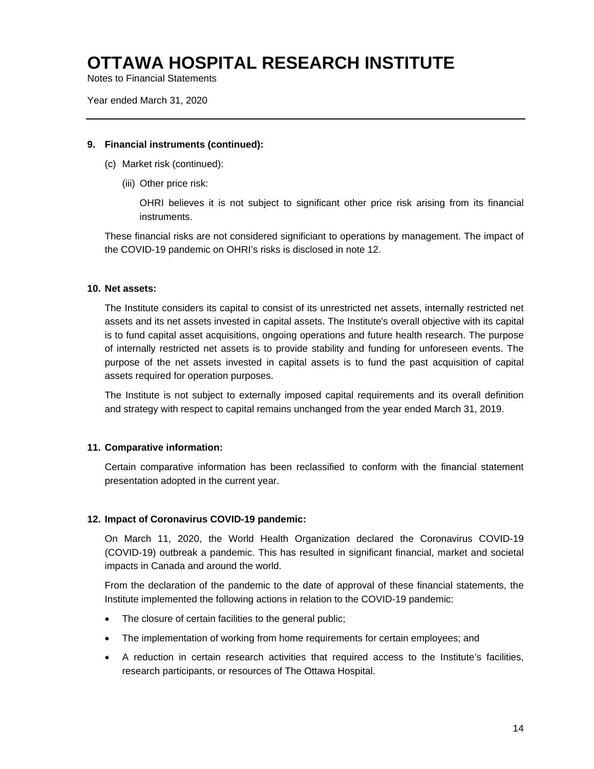Notes to Financial Statements

Year ended March 31, 2020

#### **9. Financial instruments (continued):**

- (c) Market risk (continued):
	- (iii) Other price risk:

OHRI believes it is not subject to significant other price risk arising from its financial instruments.

These financial risks are not considered significiant to operations by management. The impact of the COVID-19 pandemic on OHRI's risks is disclosed in note 12.

#### **10. Net assets:**

The Institute considers its capital to consist of its unrestricted net assets, internally restricted net assets and its net assets invested in capital assets. The Institute's overall objective with its capital is to fund capital asset acquisitions, ongoing operations and future health research. The purpose of internally restricted net assets is to provide stability and funding for unforeseen events. The purpose of the net assets invested in capital assets is to fund the past acquisition of capital assets required for operation purposes.

The Institute is not subject to externally imposed capital requirements and its overall definition and strategy with respect to capital remains unchanged from the year ended March 31, 2019.

#### **11. Comparative information:**

Certain comparative information has been reclassified to conform with the financial statement presentation adopted in the current year.

#### **12. Impact of Coronavirus COVID-19 pandemic:**

On March 11, 2020, the World Health Organization declared the Coronavirus COVID-19 (COVID-19) outbreak a pandemic. This has resulted in significant financial, market and societal impacts in Canada and around the world.

From the declaration of the pandemic to the date of approval of these financial statements, the Institute implemented the following actions in relation to the COVID-19 pandemic:

- The closure of certain facilities to the general public;
- The implementation of working from home requirements for certain employees; and
- A reduction in certain research activities that required access to the Institute's facilities, research participants, or resources of The Ottawa Hospital.